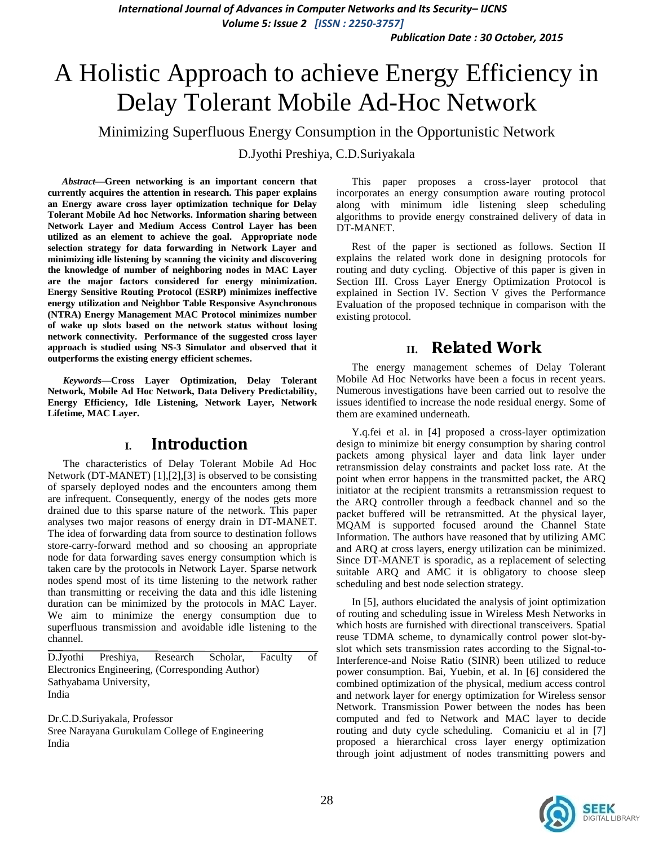*Publication Date : 30 October, 2015*

# A Holistic Approach to achieve Energy Efficiency in Delay Tolerant Mobile Ad-Hoc Network

Minimizing Superfluous Energy Consumption in the Opportunistic Network

D.Jyothi Preshiya, C.D.Suriyakala

*Abstract***—Green networking is an important concern that currently acquires the attention in research. This paper explains an Energy aware cross layer optimization technique for Delay Tolerant Mobile Ad hoc Networks. Information sharing between Network Layer and Medium Access Control Layer has been utilized as an element to achieve the goal. Appropriate node selection strategy for data forwarding in Network Layer and minimizing idle listening by scanning the vicinity and discovering the knowledge of number of neighboring nodes in MAC Layer are the major factors considered for energy minimization. Energy Sensitive Routing Protocol (ESRP) minimizes ineffective energy utilization and Neighbor Table Responsive Asynchronous (NTRA) Energy Management MAC Protocol minimizes number of wake up slots based on the network status without losing network connectivity. Performance of the suggested cross layer approach is studied using NS-3 Simulator and observed that it outperforms the existing energy efficient schemes.**

*Keywords—***Cross Layer Optimization, Delay Tolerant Network, Mobile Ad Hoc Network, Data Delivery Predictability, Energy Efficiency, Idle Listening, Network Layer, Network Lifetime, MAC Layer.**

## **I. Introduction**

The characteristics of Delay Tolerant Mobile Ad Hoc Network (DT-MANET) [1],[2],[3] is observed to be consisting of sparsely deployed nodes and the encounters among them are infrequent. Consequently, energy of the nodes gets more drained due to this sparse nature of the network. This paper analyses two major reasons of energy drain in DT-MANET. The idea of forwarding data from source to destination follows store-carry-forward method and so choosing an appropriate node for data forwarding saves energy consumption which is taken care by the protocols in Network Layer. Sparse network nodes spend most of its time listening to the network rather than transmitting or receiving the data and this idle listening duration can be minimized by the protocols in MAC Layer. We aim to minimize the energy consumption due to superfluous transmission and avoidable idle listening to the channel.

D.Jyothi Preshiya, Research Scholar, Faculty of Electronics Engineering, (Corresponding Author) Sathyabama University, India

Dr.C.D.Suriyakala, Professor Sree Narayana Gurukulam College of Engineering India

This paper proposes a cross-layer protocol that incorporates an energy consumption aware routing protocol along with minimum idle listening sleep scheduling algorithms to provide energy constrained delivery of data in DT-MANET.

Rest of the paper is sectioned as follows. Section II explains the related work done in designing protocols for routing and duty cycling. Objective of this paper is given in Section III. Cross Layer Energy Optimization Protocol is explained in Section IV. Section V gives the Performance Evaluation of the proposed technique in comparison with the existing protocol.

# **II. Related Work**

The energy management schemes of Delay Tolerant Mobile Ad Hoc Networks have been a focus in recent years. Numerous investigations have been carried out to resolve the issues identified to increase the node residual energy. Some of them are examined underneath.

Y.q.fei et al. in [4] proposed a cross-layer optimization design to minimize bit energy consumption by sharing control packets among physical layer and data link layer under retransmission delay constraints and packet loss rate. At the point when error happens in the transmitted packet, the ARQ initiator at the recipient transmits a retransmission request to the ARQ controller through a feedback channel and so the packet buffered will be retransmitted. At the physical layer, MQAM is supported focused around the Channel State Information. The authors have reasoned that by utilizing AMC and ARQ at cross layers, energy utilization can be minimized. Since DT-MANET is sporadic, as a replacement of selecting suitable ARQ and AMC it is obligatory to choose sleep scheduling and best node selection strategy.

In [5], authors elucidated the analysis of joint optimization of routing and scheduling issue in Wireless Mesh Networks in which hosts are furnished with directional transceivers. Spatial reuse TDMA scheme, to dynamically control power slot-byslot which sets transmission rates according to the Signal-to-Interference-and Noise Ratio (SINR) been utilized to reduce power consumption. Bai, Yuebin, et al. In [6] considered the combined optimization of the physical, medium access control and network layer for energy optimization for Wireless sensor Network. Transmission Power between the nodes has been computed and fed to Network and MAC layer to decide routing and duty cycle scheduling. Comaniciu et al in [7] proposed a hierarchical cross layer energy optimization through joint adjustment of nodes transmitting powers and

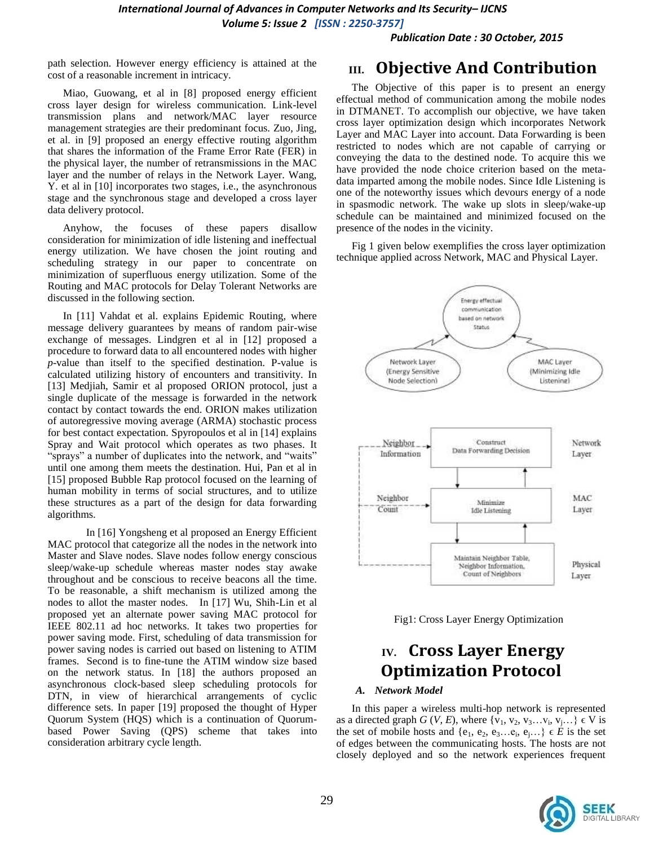*Publication Date : 30 October, 2015*

path selection. However energy efficiency is attained at the cost of a reasonable increment in intricacy.

Miao, Guowang, et al in [8] proposed energy efficient cross layer design for wireless communication. Link-level transmission plans and network/MAC layer resource management strategies are their predominant focus. Zuo, Jing, et al. in [9] proposed an energy effective routing algorithm that shares the information of the Frame Error Rate (FER) in the physical layer, the number of retransmissions in the MAC layer and the number of relays in the Network Layer. Wang, Y. et al in [10] incorporates two stages, i.e., the asynchronous stage and the synchronous stage and developed a cross layer data delivery protocol.

Anyhow, the focuses of these papers disallow consideration for minimization of idle listening and ineffectual energy utilization. We have chosen the joint routing and scheduling strategy in our paper to concentrate on minimization of superfluous energy utilization. Some of the Routing and MAC protocols for Delay Tolerant Networks are discussed in the following section.

In [11] Vahdat et al. explains Epidemic Routing, where message delivery guarantees by means of random pair-wise exchange of messages. Lindgren et al in [12] proposed a procedure to forward data to all encountered nodes with higher *p*-value than itself to the specified destination. P-value is calculated utilizing history of encounters and transitivity. In [13] Medjiah, Samir et al proposed ORION protocol, just a single duplicate of the message is forwarded in the network contact by contact towards the end. ORION makes utilization of autoregressive moving average (ARMA) stochastic process for best contact expectation. Spyropoulos et al in [14] explains Spray and Wait protocol which operates as two phases. It "sprays" a number of duplicates into the network, and "waits" until one among them meets the destination. Hui, Pan et al in [15] proposed Bubble Rap protocol focused on the learning of human mobility in terms of social structures, and to utilize these structures as a part of the design for data forwarding algorithms.

In [16] Yongsheng et al proposed an Energy Efficient MAC protocol that categorize all the nodes in the network into Master and Slave nodes. Slave nodes follow energy conscious sleep/wake-up schedule whereas master nodes stay awake throughout and be conscious to receive beacons all the time. To be reasonable, a shift mechanism is utilized among the nodes to allot the master nodes. In [17] Wu, Shih-Lin et al proposed yet an alternate power saving MAC protocol for IEEE 802.11 ad hoc networks. It takes two properties for power saving mode. First, scheduling of data transmission for power saving nodes is carried out based on listening to ATIM frames. Second is to fine-tune the ATIM window size based on the network status. In [18] the authors proposed an asynchronous clock-based sleep scheduling protocols for DTN, in view of hierarchical arrangements of cyclic difference sets. In paper [19] proposed the thought of Hyper Quorum System (HQS) which is a continuation of Quorumbased Power Saving (QPS) scheme that takes into consideration arbitrary cycle length.

# **III. Objective And Contribution**

The Objective of this paper is to present an energy effectual method of communication among the mobile nodes in DTMANET. To accomplish our objective, we have taken cross layer optimization design which incorporates Network Layer and MAC Layer into account. Data Forwarding is been restricted to nodes which are not capable of carrying or conveying the data to the destined node. To acquire this we have provided the node choice criterion based on the metadata imparted among the mobile nodes. Since Idle Listening is one of the noteworthy issues which devours energy of a node in spasmodic network. The wake up slots in sleep/wake-up schedule can be maintained and minimized focused on the presence of the nodes in the vicinity.

Fig 1 given below exemplifies the cross layer optimization technique applied across Network, MAC and Physical Layer.



Fig1: Cross Layer Energy Optimization

# **IV. Cross Layer Energy Optimization Protocol**

### *A. Network Model*

In this paper a wireless multi-hop network is represented as a directed graph *G* (*V*, *E*), where  $\{v_1, v_2, v_3...v_i, v_j...\} \in V$  is the set of mobile hosts and  $\{e_1, e_2, e_3, \ldots, e_i, e_j, \ldots\} \in \mathring{E}$  is the set of edges between the communicating hosts. The hosts are not closely deployed and so the network experiences frequent

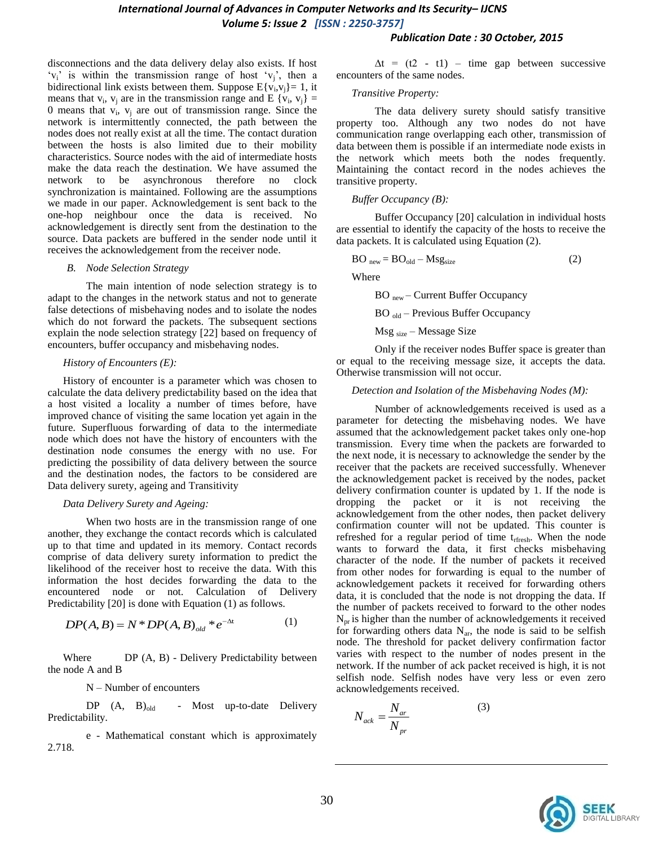#### *Publication Date : 30 October, 2015*

disconnections and the data delivery delay also exists. If host  $v_i$  is within the transmission range of host  $v_i$ , then a bidirectional link exists between them. Suppose  $E\{v_i, v_j\} = 1$ , it means that  $v_i$ ,  $v_j$  are in the transmission range and E { $v_i$ ,  $v_j$ } = 0 means that  $v_i$ ,  $v_j$  are out of transmission range. Since the network is intermittently connected, the path between the nodes does not really exist at all the time. The contact duration between the hosts is also limited due to their mobility characteristics. Source nodes with the aid of intermediate hosts make the data reach the destination. We have assumed the network to be asynchronous therefore no clock synchronization is maintained. Following are the assumptions we made in our paper. Acknowledgement is sent back to the one-hop neighbour once the data is received. No acknowledgement is directly sent from the destination to the source. Data packets are buffered in the sender node until it receives the acknowledgement from the receiver node.

#### *B. Node Selection Strategy*

The main intention of node selection strategy is to adapt to the changes in the network status and not to generate false detections of misbehaving nodes and to isolate the nodes which do not forward the packets. The subsequent sections explain the node selection strategy [22] based on frequency of encounters, buffer occupancy and misbehaving nodes.

#### *History of Encounters (E):*

History of encounter is a parameter which was chosen to calculate the data delivery predictability based on the idea that a host visited a locality a number of times before, have improved chance of visiting the same location yet again in the future. Superfluous forwarding of data to the intermediate node which does not have the history of encounters with the destination node consumes the energy with no use. For predicting the possibility of data delivery between the source and the destination nodes, the factors to be considered are Data delivery surety, ageing and Transitivity

#### *Data Delivery Surety and Ageing:*

When two hosts are in the transmission range of one another, they exchange the contact records which is calculated up to that time and updated in its memory. Contact records comprise of data delivery surety information to predict the likelihood of the receiver host to receive the data. With this information the host decides forwarding the data to the encountered node or not. Calculation of Delivery

Predictability [20] is done with Equation (1) as follows.  
\n
$$
DP(A, B) = N * DP(A, B)_{old} * e^{-\Delta t}
$$
\n(1)

Where **DP** (A, B) - Delivery Predictability between the node A and B

N – Number of encounters

DP (A, B)<sub>old</sub> - Most up-to-date Delivery Predictability.

e - Mathematical constant which is approximately 2.718.

 $\Delta t$  = (t2 - t1) – time gap between successive encounters of the same nodes.

#### *Transitive Property:*

The data delivery surety should satisfy transitive property too. Although any two nodes do not have communication range overlapping each other, transmission of data between them is possible if an intermediate node exists in the network which meets both the nodes frequently. Maintaining the contact record in the nodes achieves the transitive property.

#### *Buffer Occupancy (B):*

Buffer Occupancy [20] calculation in individual hosts are essential to identify the capacity of the hosts to receive the data packets. It is calculated using Equation (2).

$$
BOnew = BOold - Mgsize
$$
 (2)

Where

BO new – Current Buffer Occupancy

BO old – Previous Buffer Occupancy

 $Msg_{size}$  – Message Size

Only if the receiver nodes Buffer space is greater than or equal to the receiving message size, it accepts the data. Otherwise transmission will not occur.

#### *Detection and Isolation of the Misbehaving Nodes (M):*

Number of acknowledgements received is used as a parameter for detecting the misbehaving nodes. We have assumed that the acknowledgement packet takes only one-hop transmission. Every time when the packets are forwarded to the next node, it is necessary to acknowledge the sender by the receiver that the packets are received successfully. Whenever the acknowledgement packet is received by the nodes, packet delivery confirmation counter is updated by 1. If the node is dropping the packet or it is not receiving the acknowledgement from the other nodes, then packet delivery confirmation counter will not be updated. This counter is refreshed for a regular period of time  $t_{\text{rfresh}}$ . When the node wants to forward the data, it first checks misbehaving character of the node. If the number of packets it received from other nodes for forwarding is equal to the number of acknowledgement packets it received for forwarding others data, it is concluded that the node is not dropping the data. If the number of packets received to forward to the other nodes  $N_{\text{pr}}$  is higher than the number of acknowledgements it received for forwarding others data  $N_{ar}$ , the node is said to be selfish node. The threshold for packet delivery confirmation factor varies with respect to the number of nodes present in the network. If the number of ack packet received is high, it is not selfish node. Selfish nodes have very less or even zero acknowledgements received.

$$
N_{ack} = \frac{N_{ar}}{N_{pr}} \tag{3}
$$

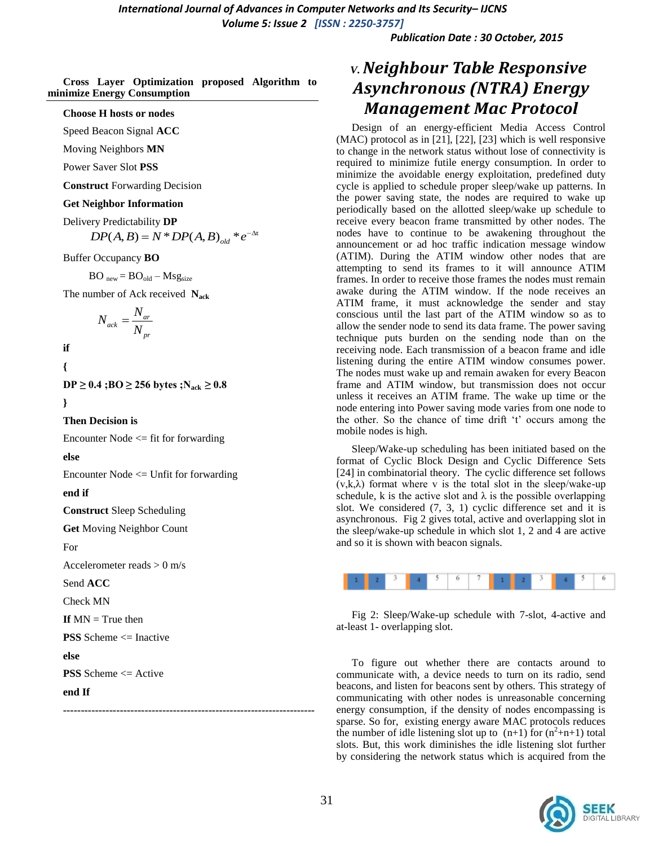*Publication Date : 30 October, 2015*

**Cross Layer Optimization proposed Algorithm to minimize Energy Consumption**

#### **Choose H hosts or nodes**

Speed Beacon Signal **ACC**

Moving Neighbors **MN**

Power Saver Slot **PSS**

**Construct** Forwarding Decision

#### **Get Neighbor Information**

Delivery Predictability **DP** 

ry Predictability **DP**<br>  $DP(A, B) = N * DP(A, B)_{old} * e^{-\Delta t}$ 

Buffer Occupancy **BO** 

 $BO_{new} = BO_{old} - Msg_{size}$ 

The number of Ack received **Nack**

$$
N_{ack} = \frac{N_{ar}}{N_{pr}}
$$

**if** 

**{**

**DP** ≥ 0.4 **;BO** ≥ 256 bytes **;N**<sub>ack</sub> ≥ 0.8

**}**

**Then Decision is**

Encounter Node <= fit for forwarding

**else**

Encounter Node <= Unfit for forwarding

**end if**

**Construct** Sleep Scheduling

**Get** Moving Neighbor Count

For

Accelerometer reads  $> 0$  m/s

Send **ACC**

Check MN

**If**  $MN = True$  then

**PSS** Scheme <= Inactive

**else**

**PSS** Scheme <= Active

**end If**

**-----------------------------------------------------------------------**

# *V.Neighbour Table Responsive Asynchronous (NTRA) Energy Management Mac Protocol*

Design of an energy-efficient Media Access Control (MAC) protocol as in [21], [22], [23] which is well responsive to change in the network status without lose of connectivity is required to minimize futile energy consumption. In order to minimize the avoidable energy exploitation, predefined duty cycle is applied to schedule proper sleep/wake up patterns. In the power saving state, the nodes are required to wake up periodically based on the allotted sleep/wake up schedule to receive every beacon frame transmitted by other nodes. The nodes have to continue to be awakening throughout the announcement or ad hoc traffic indication message window (ATIM). During the ATIM window other nodes that are attempting to send its frames to it will announce ATIM frames. In order to receive those frames the nodes must remain awake during the ATIM window. If the node receives an ATIM frame, it must acknowledge the sender and stay conscious until the last part of the ATIM window so as to allow the sender node to send its data frame. The power saving technique puts burden on the sending node than on the receiving node. Each transmission of a beacon frame and idle listening during the entire ATIM window consumes power. The nodes must wake up and remain awaken for every Beacon frame and ATIM window, but transmission does not occur unless it receives an ATIM frame. The wake up time or the node entering into Power saving mode varies from one node to the other. So the chance of time drift 't' occurs among the mobile nodes is high.

Sleep/Wake-up scheduling has been initiated based on the format of Cyclic Block Design and Cyclic Difference Sets [24] in combinatorial theory. The cyclic difference set follows  $(v, k, \lambda)$  format where v is the total slot in the sleep/wake-up schedule, k is the active slot and  $\lambda$  is the possible overlapping slot. We considered (7, 3, 1) cyclic difference set and it is asynchronous. Fig 2 gives total, active and overlapping slot in the sleep/wake-up schedule in which slot 1, 2 and 4 are active and so it is shown with beacon signals.



Fig 2: Sleep/Wake-up schedule with 7-slot, 4-active and at-least 1- overlapping slot.

To figure out whether there are contacts around to communicate with, a device needs to turn on its radio, send beacons, and listen for beacons sent by others. This strategy of communicating with other nodes is unreasonable concerning energy consumption, if the density of nodes encompassing is sparse. So for, existing energy aware MAC protocols reduces the number of idle listening slot up to  $(n+1)$  for  $(n^2+n+1)$  total slots. But, this work diminishes the idle listening slot further by considering the network status which is acquired from the

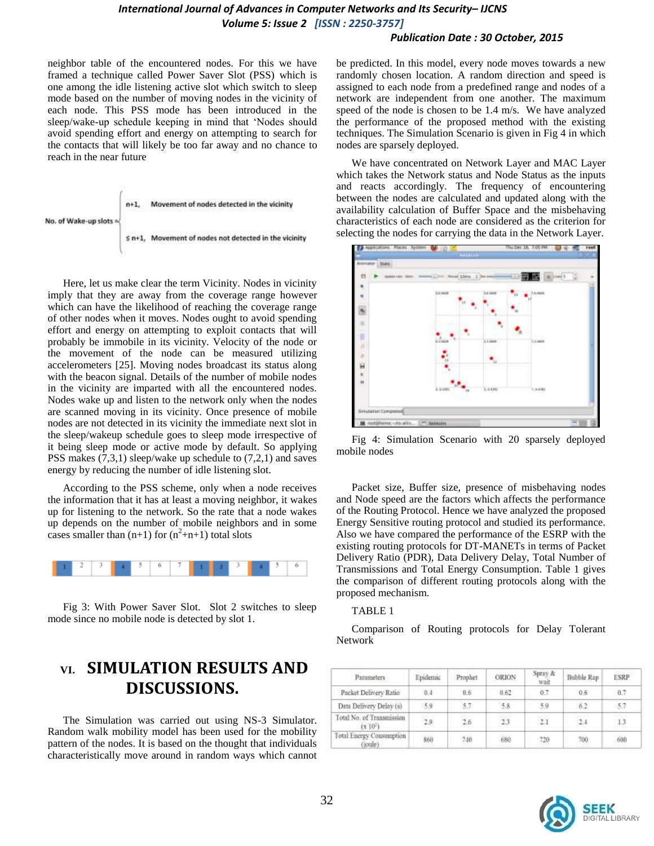#### *Publication Date : 30 October, 2015*

neighbor table of the encountered nodes. For this we have framed a technique called Power Saver Slot (PSS) which is one among the idle listening active slot which switch to sleep mode based on the number of moving nodes in the vicinity of each node. This PSS mode has been introduced in the sleep/wake-up schedule keeping in mind that "Nodes should avoid spending effort and energy on attempting to search for the contacts that will likely be too far away and no chance to reach in the near future



Here, let us make clear the term Vicinity. Nodes in vicinity imply that they are away from the coverage range however which can have the likelihood of reaching the coverage range of other nodes when it moves. Nodes ought to avoid spending effort and energy on attempting to exploit contacts that will probably be immobile in its vicinity. Velocity of the node or the movement of the node can be measured utilizing accelerometers [25]. Moving nodes broadcast its status along with the beacon signal. Details of the number of mobile nodes in the vicinity are imparted with all the encountered nodes. Nodes wake up and listen to the network only when the nodes are scanned moving in its vicinity. Once presence of mobile nodes are not detected in its vicinity the immediate next slot in the sleep/wakeup schedule goes to sleep mode irrespective of it being sleep mode or active mode by default. So applying PSS makes (7,3,1) sleep/wake up schedule to (7,2,1) and saves energy by reducing the number of idle listening slot.

According to the PSS scheme, only when a node receives the information that it has at least a moving neighbor, it wakes up for listening to the network. So the rate that a node wakes up depends on the number of mobile neighbors and in some cases smaller than  $(n+1)$  for  $(n^2+n+1)$  total slots



Fig 3: With Power Saver Slot. Slot 2 switches to sleep mode since no mobile node is detected by slot 1.

# **VI. SIMULATION RESULTS AND DISCUSSIONS.**

The Simulation was carried out using NS-3 Simulator. Random walk mobility model has been used for the mobility pattern of the nodes. It is based on the thought that individuals characteristically move around in random ways which cannot be predicted. In this model, every node moves towards a new randomly chosen location. A random direction and speed is assigned to each node from a predefined range and nodes of a network are independent from one another. The maximum speed of the node is chosen to be 1.4 m/s. We have analyzed the performance of the proposed method with the existing techniques. The Simulation Scenario is given in Fig 4 in which nodes are sparsely deployed.

We have concentrated on Network Layer and MAC Layer which takes the Network status and Node Status as the inputs and reacts accordingly. The frequency of encountering between the nodes are calculated and updated along with the availability calculation of Buffer Space and the misbehaving characteristics of each node are considered as the criterion for selecting the nodes for carrying the data in the Network Layer.





Packet size, Buffer size, presence of misbehaving nodes and Node speed are the factors which affects the performance of the Routing Protocol. Hence we have analyzed the proposed Energy Sensitive routing protocol and studied its performance. Also we have compared the performance of the ESRP with the existing routing protocols for DT-MANETs in terms of Packet Delivery Ratio (PDR), Data Delivery Delay, Total Number of Transmissions and Total Energy Consumption. Table 1 gives the comparison of different routing protocols along with the proposed mechanism.

#### TABLE 1

Comparison of Routing protocols for Delay Tolerant Network

| Parameters                                 | Epidemic | Prophet | ORION   | Spray &<br>wait | Bubble Rap | <b>ESRP</b> |
|--------------------------------------------|----------|---------|---------|-----------------|------------|-------------|
| Packet Delivery Ratio                      | 0.4      | 0.6     | 0.62    | 0.7             | 0.6        | 0.7         |
| Data Delivery Delay (s)                    | 5.0      | 5.7     | 58      | -5.9            | .62        | -5.7        |
| Total No. of Transmission<br>(3, 10)       | 2.9      | 2.6     | $2.3\,$ | 7.1             | 2.4        | 1.3         |
| <b>Total Energy Consumption</b><br>(joule) | 860      | 740     | 680     | .720            | 700        | 600         |

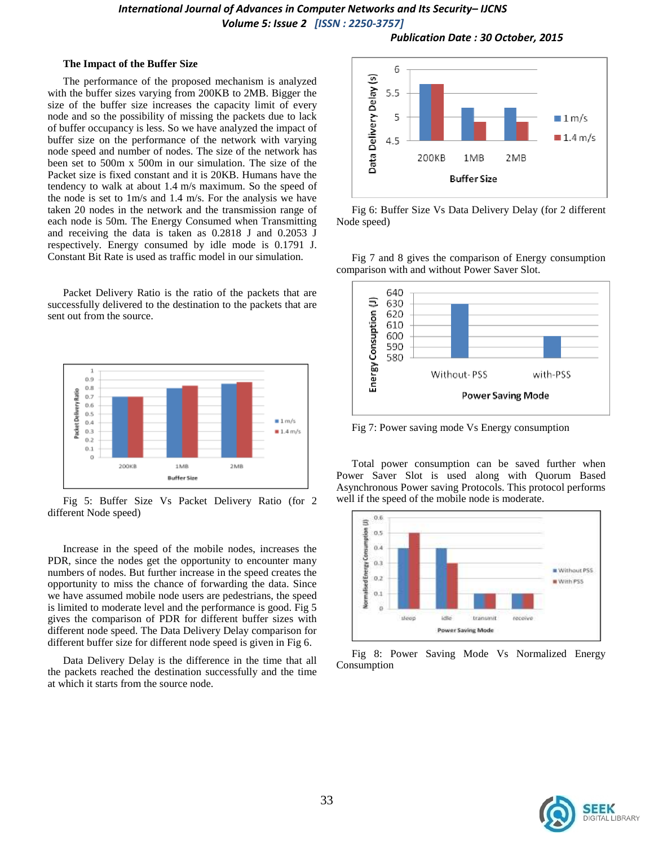*Publication Date : 30 October, 2015*

#### **The Impact of the Buffer Size**

The performance of the proposed mechanism is analyzed with the buffer sizes varying from 200KB to 2MB. Bigger the size of the buffer size increases the capacity limit of every node and so the possibility of missing the packets due to lack of buffer occupancy is less. So we have analyzed the impact of buffer size on the performance of the network with varying node speed and number of nodes. The size of the network has been set to 500m x 500m in our simulation. The size of the Packet size is fixed constant and it is 20KB. Humans have the tendency to walk at about 1.4 m/s maximum. So the speed of the node is set to 1m/s and 1.4 m/s. For the analysis we have taken 20 nodes in the network and the transmission range of each node is 50m. The Energy Consumed when Transmitting and receiving the data is taken as 0.2818 J and 0.2053 J respectively. Energy consumed by idle mode is 0.1791 J. Constant Bit Rate is used as traffic model in our simulation.

Packet Delivery Ratio is the ratio of the packets that are successfully delivered to the destination to the packets that are sent out from the source.



Fig 5: Buffer Size Vs Packet Delivery Ratio (for 2 different Node speed)

Increase in the speed of the mobile nodes, increases the PDR, since the nodes get the opportunity to encounter many numbers of nodes. But further increase in the speed creates the opportunity to miss the chance of forwarding the data. Since we have assumed mobile node users are pedestrians, the speed is limited to moderate level and the performance is good. Fig 5 gives the comparison of PDR for different buffer sizes with different node speed. The Data Delivery Delay comparison for different buffer size for different node speed is given in Fig 6.

Data Delivery Delay is the difference in the time that all the packets reached the destination successfully and the time at which it starts from the source node.



Fig 6: Buffer Size Vs Data Delivery Delay (for 2 different Node speed)

Fig 7 and 8 gives the comparison of Energy consumption comparison with and without Power Saver Slot.



Fig 7: Power saving mode Vs Energy consumption

Total power consumption can be saved further when Power Saver Slot is used along with Quorum Based Asynchronous Power saving Protocols. This protocol performs well if the speed of the mobile node is moderate.



Fig 8: Power Saving Mode Vs Normalized Energy Consumption